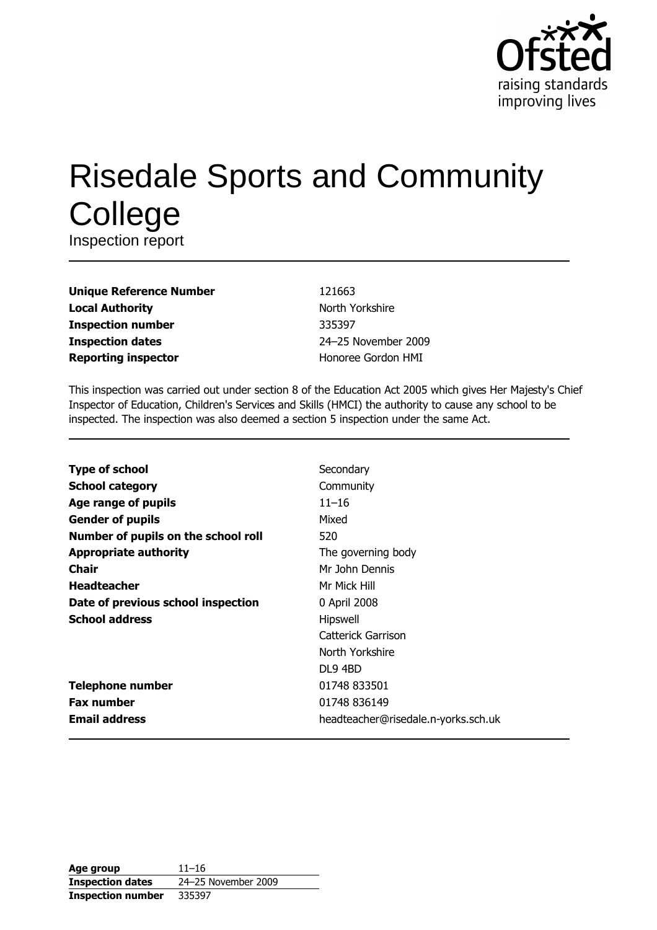

# **Risedale Sports and Community** College

Inspection report

| <b>Unique Reference Number</b> |
|--------------------------------|
| <b>Local Authority</b>         |
| <b>Inspection number</b>       |
| <b>Inspection dates</b>        |
| <b>Reporting inspector</b>     |

121663 North Yorkshire 335397 24-25 November 2009 Honoree Gordon HMI

This inspection was carried out under section 8 of the Education Act 2005 which gives Her Majesty's Chief Inspector of Education, Children's Services and Skills (HMCI) the authority to cause any school to be inspected. The inspection was also deemed a section 5 inspection under the same Act.

| <b>Type of school</b>               | Secondary                           |
|-------------------------------------|-------------------------------------|
| <b>School category</b>              | Community                           |
| Age range of pupils                 | $11 - 16$                           |
| <b>Gender of pupils</b>             | Mixed                               |
| Number of pupils on the school roll | 520                                 |
| <b>Appropriate authority</b>        | The governing body                  |
| Chair                               | Mr John Dennis                      |
| <b>Headteacher</b>                  | Mr Mick Hill                        |
| Date of previous school inspection  | 0 April 2008                        |
| <b>School address</b>               | Hipswell                            |
|                                     | <b>Catterick Garrison</b>           |
|                                     | North Yorkshire                     |
|                                     | <b>DL9 4BD</b>                      |
| <b>Telephone number</b>             | 01748 833501                        |
| <b>Fax number</b>                   | 01748 836149                        |
| <b>Email address</b>                | headteacher@risedale.n-yorks.sch.uk |

| Age group                | $11 - 16$           |
|--------------------------|---------------------|
| <b>Inspection dates</b>  | 24-25 November 2009 |
| <b>Inspection number</b> | 335397              |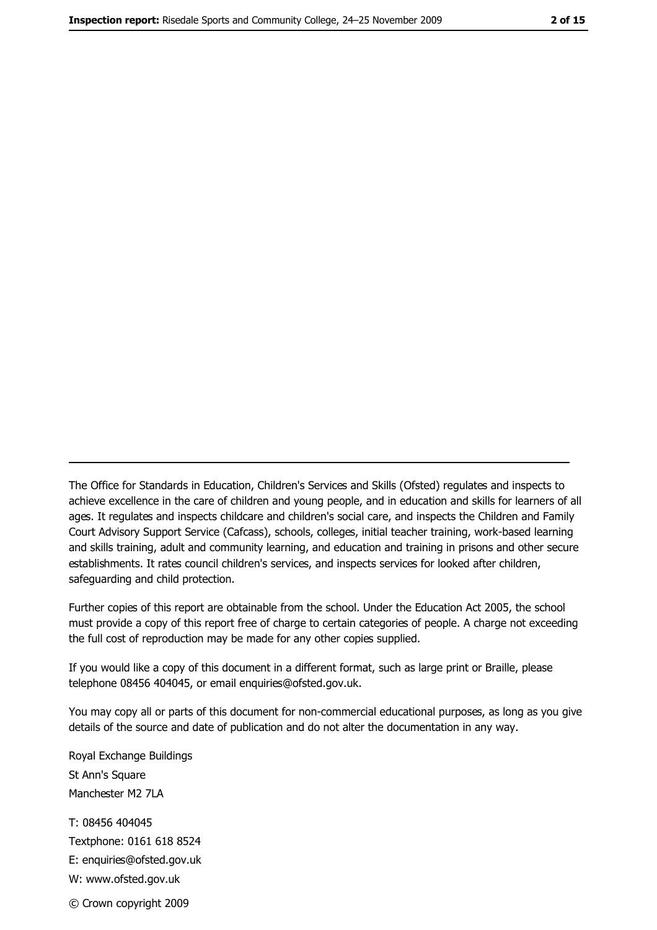The Office for Standards in Education, Children's Services and Skills (Ofsted) regulates and inspects to achieve excellence in the care of children and young people, and in education and skills for learners of all ages. It regulates and inspects childcare and children's social care, and inspects the Children and Family Court Advisory Support Service (Cafcass), schools, colleges, initial teacher training, work-based learning and skills training, adult and community learning, and education and training in prisons and other secure establishments. It rates council children's services, and inspects services for looked after children, safequarding and child protection.

Further copies of this report are obtainable from the school. Under the Education Act 2005, the school must provide a copy of this report free of charge to certain categories of people. A charge not exceeding the full cost of reproduction may be made for any other copies supplied.

If you would like a copy of this document in a different format, such as large print or Braille, please telephone 08456 404045, or email enquiries@ofsted.gov.uk.

You may copy all or parts of this document for non-commercial educational purposes, as long as you give details of the source and date of publication and do not alter the documentation in any way.

Royal Exchange Buildings St Ann's Square Manchester M2 7LA T: 08456 404045 Textphone: 0161 618 8524 E: enquiries@ofsted.gov.uk W: www.ofsted.gov.uk © Crown copyright 2009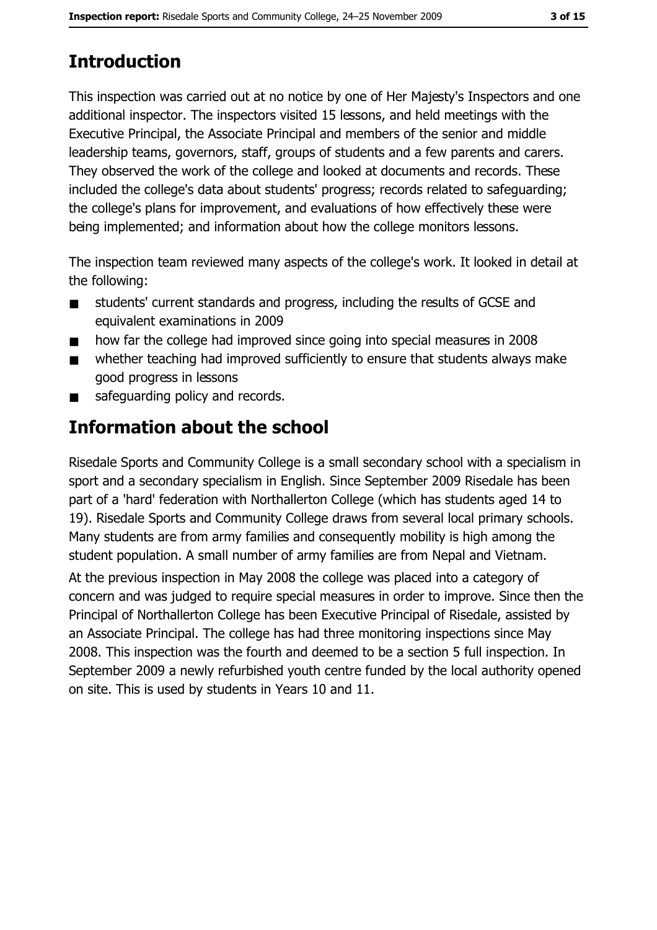# **Introduction**

This inspection was carried out at no notice by one of Her Majesty's Inspectors and one additional inspector. The inspectors visited 15 lessons, and held meetings with the Executive Principal, the Associate Principal and members of the senior and middle leadership teams, governors, staff, groups of students and a few parents and carers. They observed the work of the college and looked at documents and records. These included the college's data about students' progress; records related to safeguarding; the college's plans for improvement, and evaluations of how effectively these were being implemented; and information about how the college monitors lessons.

The inspection team reviewed many aspects of the college's work. It looked in detail at the following:

- students' current standards and progress, including the results of GCSE and  $\blacksquare$ equivalent examinations in 2009
- how far the college had improved since going into special measures in 2008  $\blacksquare$
- whether teaching had improved sufficiently to ensure that students always make  $\blacksquare$ good progress in lessons
- safeguarding policy and records.  $\blacksquare$

# **Information about the school**

Risedale Sports and Community College is a small secondary school with a specialism in sport and a secondary specialism in English. Since September 2009 Risedale has been part of a 'hard' federation with Northallerton College (which has students aged 14 to 19). Risedale Sports and Community College draws from several local primary schools. Many students are from army families and consequently mobility is high among the student population. A small number of army families are from Nepal and Vietnam. At the previous inspection in May 2008 the college was placed into a category of concern and was judged to require special measures in order to improve. Since then the Principal of Northallerton College has been Executive Principal of Risedale, assisted by an Associate Principal. The college has had three monitoring inspections since May 2008. This inspection was the fourth and deemed to be a section 5 full inspection. In September 2009 a newly refurbished youth centre funded by the local authority opened on site. This is used by students in Years 10 and 11.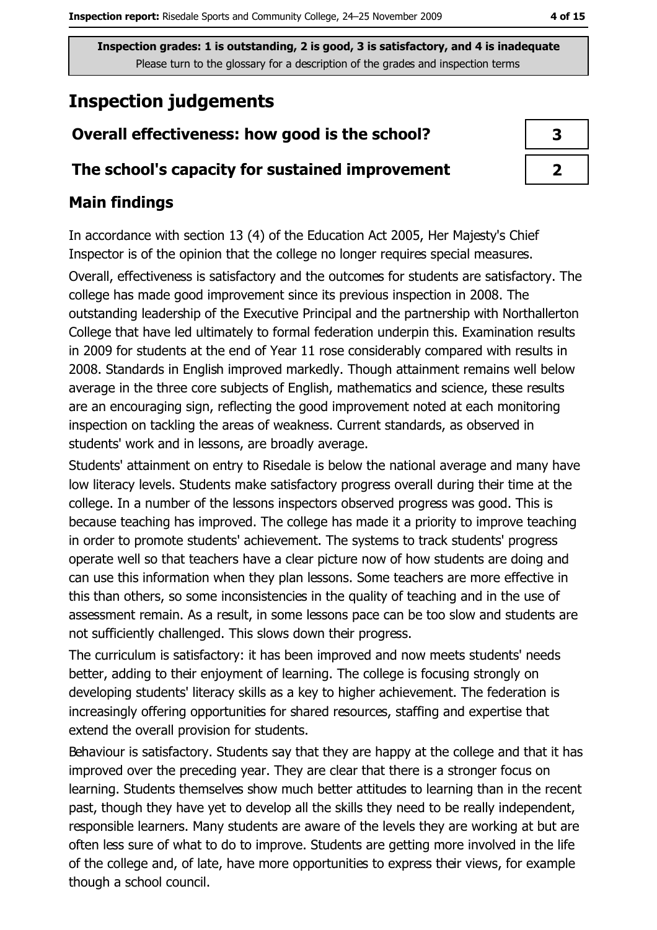## **Inspection judgements**

#### Overall effectiveness: how good is the school?

#### The school's capacity for sustained improvement

## **Main findings**

In accordance with section 13 (4) of the Education Act 2005, Her Majesty's Chief Inspector is of the opinion that the college no longer requires special measures. Overall, effectiveness is satisfactory and the outcomes for students are satisfactory. The college has made good improvement since its previous inspection in 2008. The outstanding leadership of the Executive Principal and the partnership with Northallerton College that have led ultimately to formal federation underpin this. Examination results in 2009 for students at the end of Year 11 rose considerably compared with results in 2008. Standards in English improved markedly. Though attainment remains well below average in the three core subjects of English, mathematics and science, these results are an encouraging sign, reflecting the good improvement noted at each monitoring inspection on tackling the areas of weakness. Current standards, as observed in students' work and in lessons, are broadly average.

Students' attainment on entry to Risedale is below the national average and many have low literacy levels. Students make satisfactory progress overall during their time at the college. In a number of the lessons inspectors observed progress was good. This is because teaching has improved. The college has made it a priority to improve teaching in order to promote students' achievement. The systems to track students' progress operate well so that teachers have a clear picture now of how students are doing and can use this information when they plan lessons. Some teachers are more effective in this than others, so some inconsistencies in the quality of teaching and in the use of assessment remain. As a result, in some lessons pace can be too slow and students are not sufficiently challenged. This slows down their progress.

The curriculum is satisfactory: it has been improved and now meets students' needs better, adding to their enjoyment of learning. The college is focusing strongly on developing students' literacy skills as a key to higher achievement. The federation is increasingly offering opportunities for shared resources, staffing and expertise that extend the overall provision for students.

Behaviour is satisfactory. Students say that they are happy at the college and that it has improved over the preceding year. They are clear that there is a stronger focus on learning. Students themselves show much better attitudes to learning than in the recent past, though they have vet to develop all the skills they need to be really independent, responsible learners. Many students are aware of the levels they are working at but are often less sure of what to do to improve. Students are getting more involved in the life of the college and, of late, have more opportunities to express their views, for example though a school council.

| 3 |  |
|---|--|
| ↗ |  |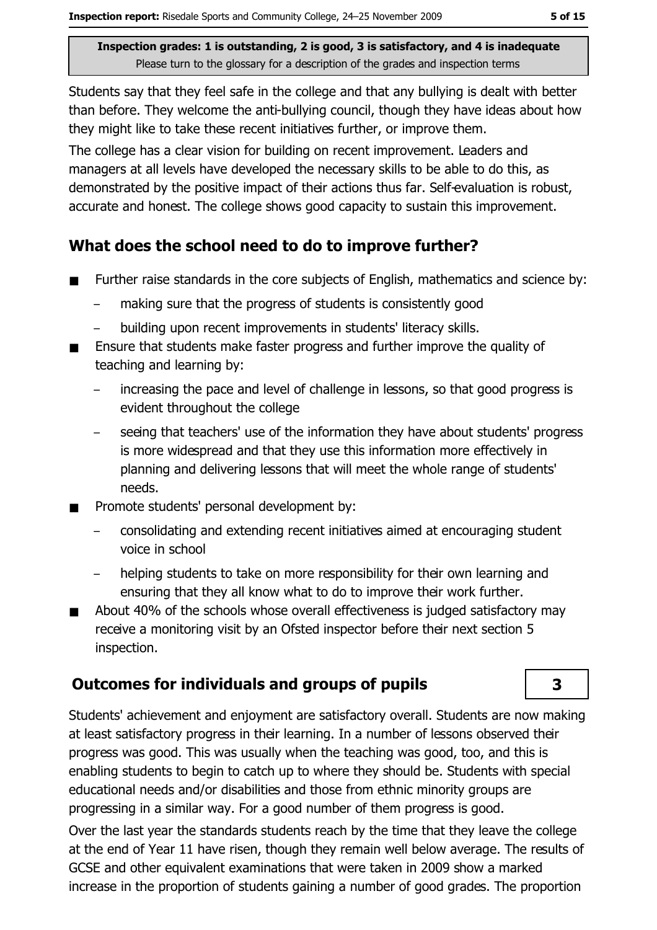$\overline{\mathbf{3}}$ 

Inspection grades: 1 is outstanding, 2 is good, 3 is satisfactory, and 4 is inadequate Please turn to the glossary for a description of the grades and inspection terms

Students say that they feel safe in the college and that any bullying is dealt with better than before. They welcome the anti-bullying council, though they have ideas about how they might like to take these recent initiatives further, or improve them.

The college has a clear vision for building on recent improvement. Leaders and managers at all levels have developed the necessary skills to be able to do this, as demonstrated by the positive impact of their actions thus far. Self-evaluation is robust, accurate and honest. The college shows good capacity to sustain this improvement.

## What does the school need to do to improve further?

- Further raise standards in the core subjects of English, mathematics and science by:  $\blacksquare$ 
	- making sure that the progress of students is consistently good
	- building upon recent improvements in students' literacy skills.
- Ensure that students make faster progress and further improve the quality of teaching and learning by:
	- increasing the pace and level of challenge in lessons, so that good progress is evident throughout the college
	- seeing that teachers' use of the information they have about students' progress is more widespread and that they use this information more effectively in planning and delivering lessons that will meet the whole range of students' needs.
- Promote students' personal development by:
	- consolidating and extending recent initiatives aimed at encouraging student voice in school
	- helping students to take on more responsibility for their own learning and ensuring that they all know what to do to improve their work further.
- About 40% of the schools whose overall effectiveness is judged satisfactory may  $\blacksquare$ receive a monitoring visit by an Ofsted inspector before their next section 5 inspection.

## **Outcomes for individuals and groups of pupils**

Students' achievement and enjoyment are satisfactory overall. Students are now making at least satisfactory progress in their learning. In a number of lessons observed their progress was good. This was usually when the teaching was good, too, and this is enabling students to begin to catch up to where they should be. Students with special educational needs and/or disabilities and those from ethnic minority groups are progressing in a similar way. For a good number of them progress is good.

Over the last year the standards students reach by the time that they leave the college at the end of Year 11 have risen, though they remain well below average. The results of GCSE and other equivalent examinations that were taken in 2009 show a marked increase in the proportion of students gaining a number of good grades. The proportion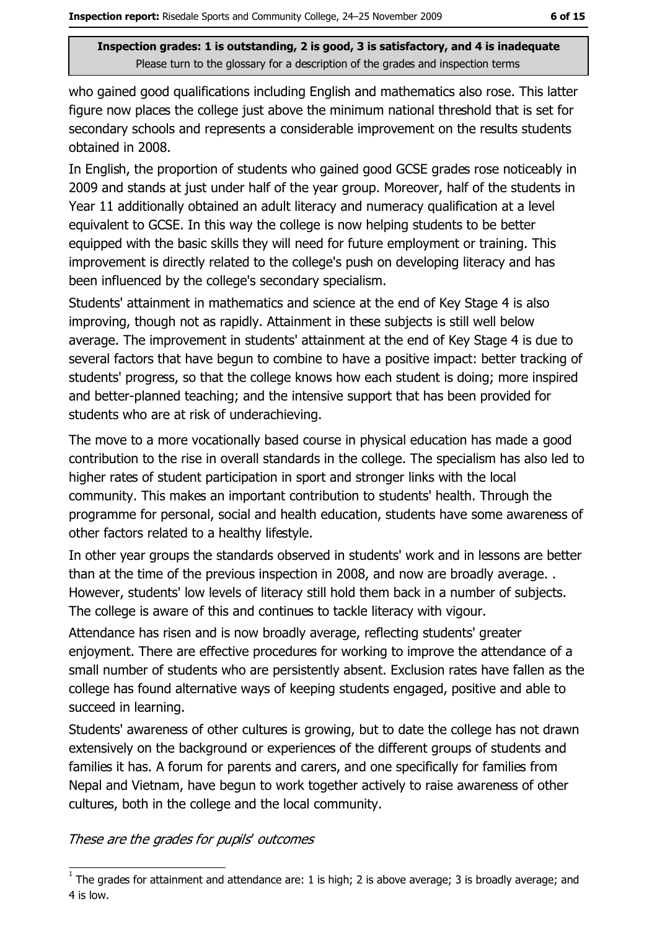6 of 15

Inspection grades: 1 is outstanding, 2 is good, 3 is satisfactory, and 4 is inadequate Please turn to the glossary for a description of the grades and inspection terms

who gained good gualifications including English and mathematics also rose. This latter figure now places the college just above the minimum national threshold that is set for secondary schools and represents a considerable improvement on the results students obtained in 2008.

In English, the proportion of students who gained good GCSE grades rose noticeably in 2009 and stands at just under half of the year group. Moreover, half of the students in Year 11 additionally obtained an adult literacy and numeracy qualification at a level equivalent to GCSE. In this way the college is now helping students to be better equipped with the basic skills they will need for future employment or training. This improvement is directly related to the college's push on developing literacy and has been influenced by the college's secondary specialism.

Students' attainment in mathematics and science at the end of Key Stage 4 is also improving, though not as rapidly. Attainment in these subjects is still well below average. The improvement in students' attainment at the end of Key Stage 4 is due to several factors that have begun to combine to have a positive impact: better tracking of students' progress, so that the college knows how each student is doing; more inspired and better-planned teaching; and the intensive support that has been provided for students who are at risk of underachieving.

The move to a more vocationally based course in physical education has made a good contribution to the rise in overall standards in the college. The specialism has also led to higher rates of student participation in sport and stronger links with the local community. This makes an important contribution to students' health. Through the programme for personal, social and health education, students have some awareness of other factors related to a healthy lifestyle.

In other year groups the standards observed in students' work and in lessons are better than at the time of the previous inspection in 2008, and now are broadly average.. However, students' low levels of literacy still hold them back in a number of subjects. The college is aware of this and continues to tackle literacy with vigour.

Attendance has risen and is now broadly average, reflecting students' greater enjoyment. There are effective procedures for working to improve the attendance of a small number of students who are persistently absent. Exclusion rates have fallen as the college has found alternative ways of keeping students engaged, positive and able to succeed in learning.

Students' awareness of other cultures is growing, but to date the college has not drawn extensively on the background or experiences of the different groups of students and families it has. A forum for parents and carers, and one specifically for families from Nepal and Vietnam, have begun to work together actively to raise awareness of other cultures, both in the college and the local community.

These are the grades for pupils' outcomes

 $\frac{1}{1}$  The grades for attainment and attendance are: 1 is high; 2 is above average; 3 is broadly average; and 4 is low.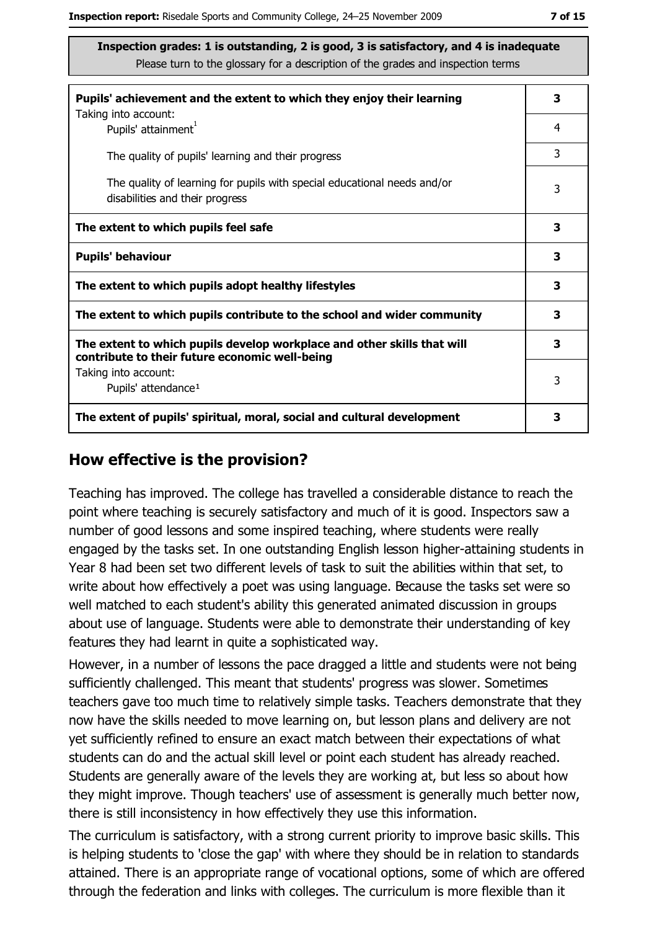| Pupils' achievement and the extent to which they enjoy their learning                                                     |   |  |
|---------------------------------------------------------------------------------------------------------------------------|---|--|
| Taking into account:<br>Pupils' attainment <sup>1</sup>                                                                   | 4 |  |
| The quality of pupils' learning and their progress                                                                        | 3 |  |
| The quality of learning for pupils with special educational needs and/or<br>disabilities and their progress               | 3 |  |
| The extent to which pupils feel safe                                                                                      | 3 |  |
| <b>Pupils' behaviour</b>                                                                                                  |   |  |
| The extent to which pupils adopt healthy lifestyles                                                                       | 3 |  |
| The extent to which pupils contribute to the school and wider community                                                   | 3 |  |
| The extent to which pupils develop workplace and other skills that will<br>contribute to their future economic well-being |   |  |
| Taking into account:<br>Pupils' attendance <sup>1</sup>                                                                   | 3 |  |
| The extent of pupils' spiritual, moral, social and cultural development                                                   | 3 |  |

#### How effective is the provision?

Teaching has improved. The college has travelled a considerable distance to reach the point where teaching is securely satisfactory and much of it is good. Inspectors saw a number of good lessons and some inspired teaching, where students were really engaged by the tasks set. In one outstanding English lesson higher-attaining students in Year 8 had been set two different levels of task to suit the abilities within that set, to write about how effectively a poet was using language. Because the tasks set were so well matched to each student's ability this generated animated discussion in groups about use of language. Students were able to demonstrate their understanding of key features they had learnt in quite a sophisticated way.

However, in a number of lessons the pace dragged a little and students were not being sufficiently challenged. This meant that students' progress was slower. Sometimes teachers gave too much time to relatively simple tasks. Teachers demonstrate that they now have the skills needed to move learning on, but lesson plans and delivery are not yet sufficiently refined to ensure an exact match between their expectations of what students can do and the actual skill level or point each student has already reached. Students are generally aware of the levels they are working at, but less so about how they might improve. Though teachers' use of assessment is generally much better now, there is still inconsistency in how effectively they use this information.

The curriculum is satisfactory, with a strong current priority to improve basic skills. This is helping students to 'close the gap' with where they should be in relation to standards attained. There is an appropriate range of vocational options, some of which are offered through the federation and links with colleges. The curriculum is more flexible than it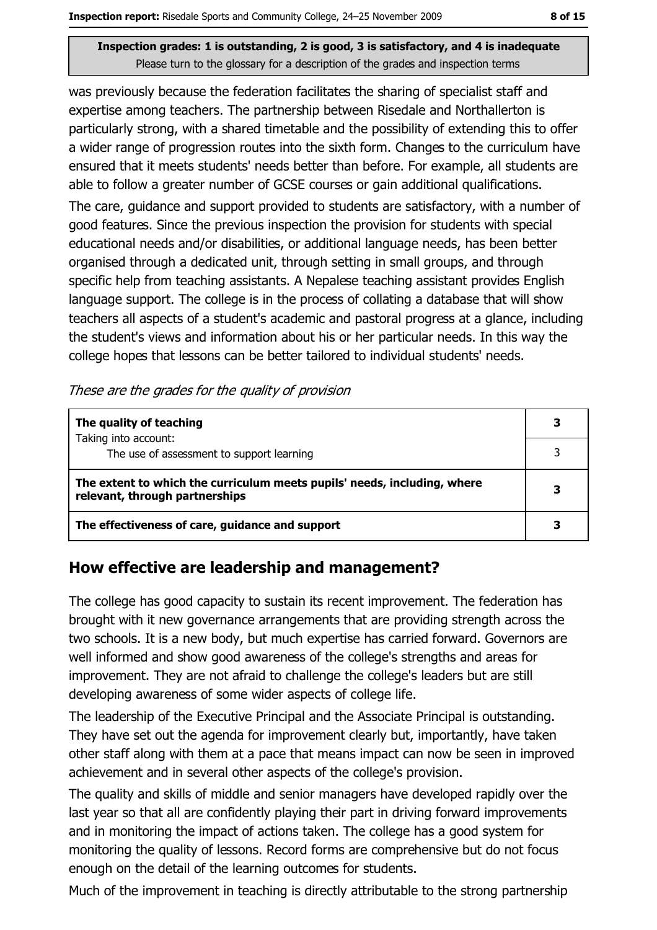was previously because the federation facilitates the sharing of specialist staff and expertise among teachers. The partnership between Risedale and Northallerton is particularly strong, with a shared timetable and the possibility of extending this to offer a wider range of progression routes into the sixth form. Changes to the curriculum have ensured that it meets students' needs better than before. For example, all students are able to follow a greater number of GCSE courses or gain additional qualifications.

The care, guidance and support provided to students are satisfactory, with a number of good features. Since the previous inspection the provision for students with special educational needs and/or disabilities, or additional language needs, has been better organised through a dedicated unit, through setting in small groups, and through specific help from teaching assistants. A Nepalese teaching assistant provides English language support. The college is in the process of collating a database that will show teachers all aspects of a student's academic and pastoral progress at a glance, including the student's views and information about his or her particular needs. In this way the college hopes that lessons can be better tailored to individual students' needs.

These are the grades for the quality of provision

| The quality of teaching                                                                                    |  |
|------------------------------------------------------------------------------------------------------------|--|
| Taking into account:<br>The use of assessment to support learning                                          |  |
| The extent to which the curriculum meets pupils' needs, including, where<br>relevant, through partnerships |  |
| The effectiveness of care, guidance and support                                                            |  |

## How effective are leadership and management?

The college has good capacity to sustain its recent improvement. The federation has brought with it new governance arrangements that are providing strength across the two schools. It is a new body, but much expertise has carried forward. Governors are well informed and show good awareness of the college's strengths and areas for improvement. They are not afraid to challenge the college's leaders but are still developing awareness of some wider aspects of college life.

The leadership of the Executive Principal and the Associate Principal is outstanding. They have set out the agenda for improvement clearly but, importantly, have taken other staff along with them at a pace that means impact can now be seen in improved achievement and in several other aspects of the college's provision.

The quality and skills of middle and senior managers have developed rapidly over the last year so that all are confidently playing their part in driving forward improvements and in monitoring the impact of actions taken. The college has a good system for monitoring the quality of lessons. Record forms are comprehensive but do not focus enough on the detail of the learning outcomes for students.

Much of the improvement in teaching is directly attributable to the strong partnership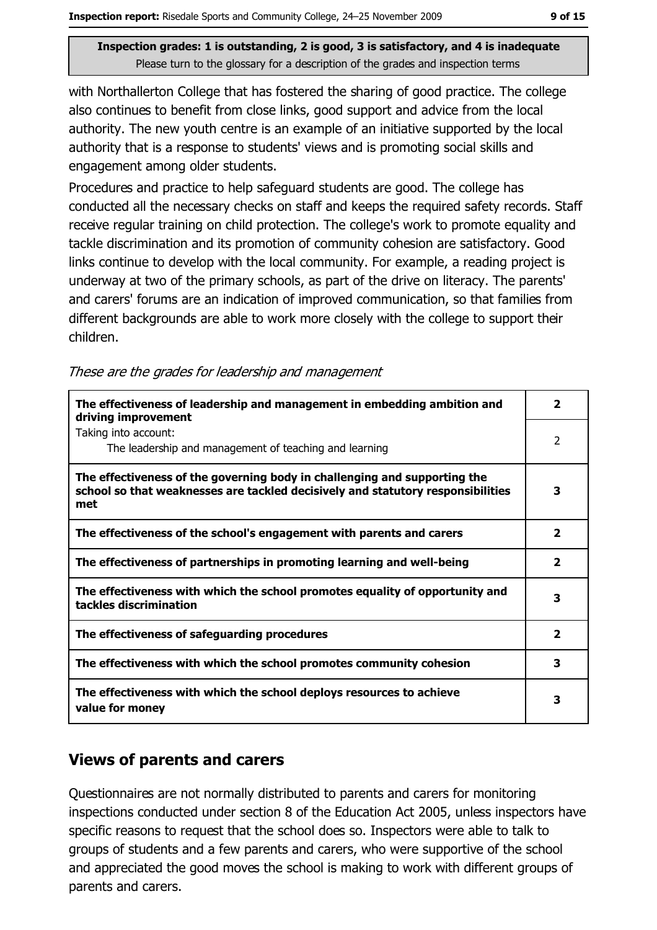with Northallerton College that has fostered the sharing of good practice. The college also continues to benefit from close links, good support and advice from the local authority. The new youth centre is an example of an initiative supported by the local authority that is a response to students' views and is promoting social skills and engagement among older students.

Procedures and practice to help safeguard students are good. The college has conducted all the necessary checks on staff and keeps the required safety records. Staff receive regular training on child protection. The college's work to promote equality and tackle discrimination and its promotion of community cohesion are satisfactory. Good links continue to develop with the local community. For example, a reading project is underway at two of the primary schools, as part of the drive on literacy. The parents' and carers' forums are an indication of improved communication, so that families from different backgrounds are able to work more closely with the college to support their children.

These are the grades for leadership and management

| The effectiveness of leadership and management in embedding ambition and<br>driving improvement                                                                     | 2            |
|---------------------------------------------------------------------------------------------------------------------------------------------------------------------|--------------|
| Taking into account:<br>The leadership and management of teaching and learning                                                                                      | 2            |
| The effectiveness of the governing body in challenging and supporting the<br>school so that weaknesses are tackled decisively and statutory responsibilities<br>met | 3            |
| The effectiveness of the school's engagement with parents and carers                                                                                                | $\mathbf{2}$ |
| The effectiveness of partnerships in promoting learning and well-being                                                                                              | $\mathbf{2}$ |
| The effectiveness with which the school promotes equality of opportunity and<br>tackles discrimination                                                              | 3            |
| The effectiveness of safeguarding procedures                                                                                                                        | $\mathbf{2}$ |
| The effectiveness with which the school promotes community cohesion                                                                                                 | 3            |
| The effectiveness with which the school deploys resources to achieve<br>value for money                                                                             | 3            |

## **Views of parents and carers**

Questionnaires are not normally distributed to parents and carers for monitoring inspections conducted under section 8 of the Education Act 2005, unless inspectors have specific reasons to request that the school does so. Inspectors were able to talk to groups of students and a few parents and carers, who were supportive of the school and appreciated the good moves the school is making to work with different groups of parents and carers.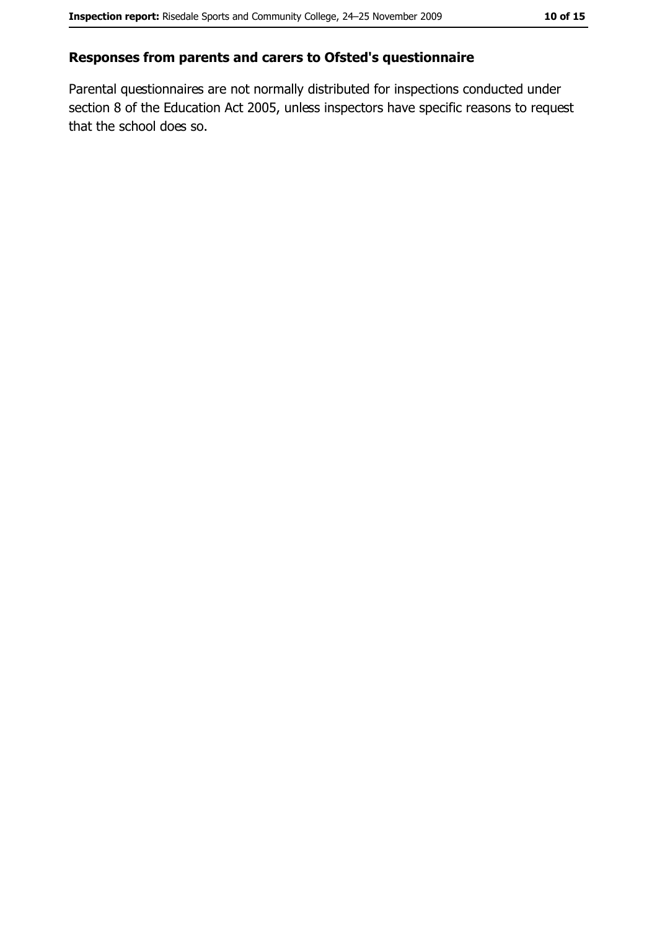#### Responses from parents and carers to Ofsted's questionnaire

Parental questionnaires are not normally distributed for inspections conducted under section 8 of the Education Act 2005, unless inspectors have specific reasons to request that the school does so.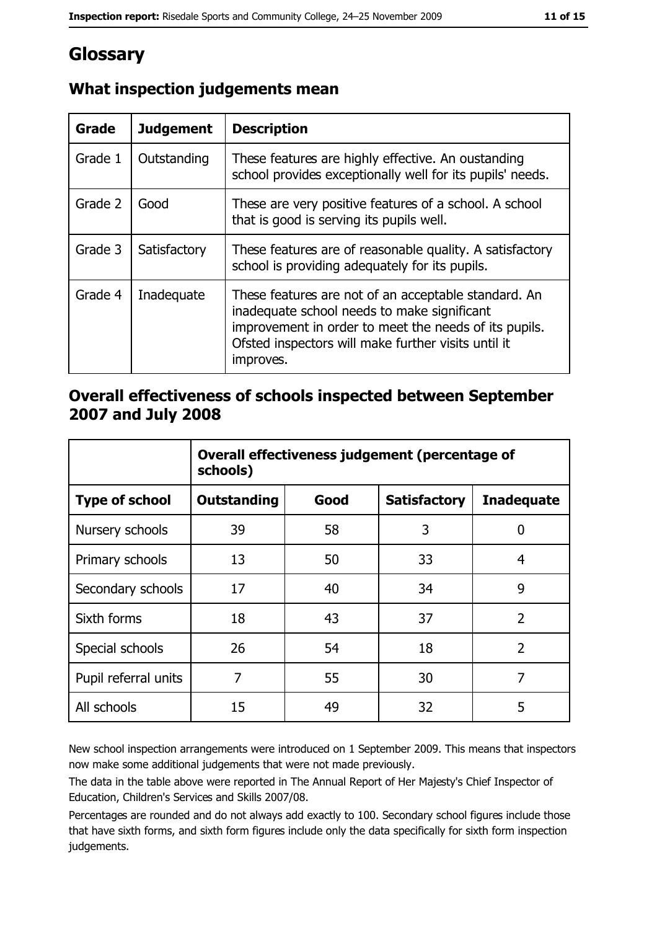# Glossary

| Grade   | <b>Judgement</b> | <b>Description</b>                                                                                                                                                                                                               |
|---------|------------------|----------------------------------------------------------------------------------------------------------------------------------------------------------------------------------------------------------------------------------|
| Grade 1 | Outstanding      | These features are highly effective. An oustanding<br>school provides exceptionally well for its pupils' needs.                                                                                                                  |
| Grade 2 | Good             | These are very positive features of a school. A school<br>that is good is serving its pupils well.                                                                                                                               |
| Grade 3 | Satisfactory     | These features are of reasonable quality. A satisfactory<br>school is providing adequately for its pupils.                                                                                                                       |
| Grade 4 | Inadequate       | These features are not of an acceptable standard. An<br>inadequate school needs to make significant<br>improvement in order to meet the needs of its pupils.<br>Ofsted inspectors will make further visits until it<br>improves. |

## What inspection judgements mean

#### Overall effectiveness of schools inspected between September 2007 and July 2008

|                       | Overall effectiveness judgement (percentage of<br>schools) |      |                     |                   |
|-----------------------|------------------------------------------------------------|------|---------------------|-------------------|
| <b>Type of school</b> | Outstanding                                                | Good | <b>Satisfactory</b> | <b>Inadequate</b> |
| Nursery schools       | 39                                                         | 58   | 3                   | 0                 |
| Primary schools       | 13                                                         | 50   | 33                  | 4                 |
| Secondary schools     | 17                                                         | 40   | 34                  | 9                 |
| Sixth forms           | 18                                                         | 43   | 37                  | $\overline{2}$    |
| Special schools       | 26                                                         | 54   | 18                  | $\overline{2}$    |
| Pupil referral units  | 7                                                          | 55   | 30                  | 7                 |
| All schools           | 15                                                         | 49   | 32                  | 5                 |

New school inspection arrangements were introduced on 1 September 2009. This means that inspectors now make some additional judgements that were not made previously.

The data in the table above were reported in The Annual Report of Her Majesty's Chief Inspector of Education, Children's Services and Skills 2007/08.

Percentages are rounded and do not always add exactly to 100. Secondary school figures include those that have sixth forms, and sixth form figures include only the data specifically for sixth form inspection judgements.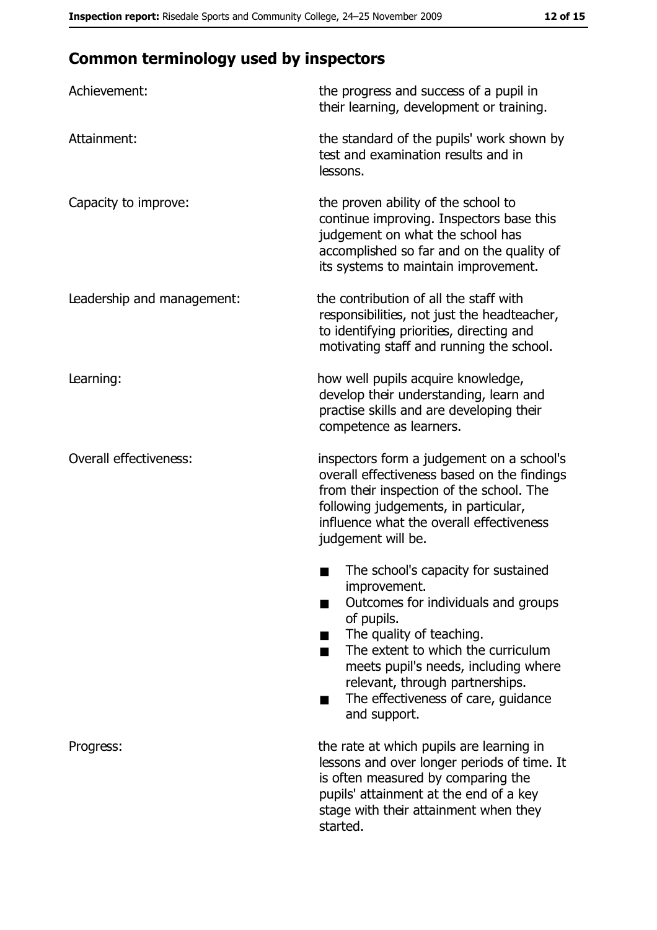# **Common terminology used by inspectors**

| Achievement:                  | the progress and success of a pupil in<br>their learning, development or training.                                                                                                                                                                                                                           |
|-------------------------------|--------------------------------------------------------------------------------------------------------------------------------------------------------------------------------------------------------------------------------------------------------------------------------------------------------------|
| Attainment:                   | the standard of the pupils' work shown by<br>test and examination results and in<br>lessons.                                                                                                                                                                                                                 |
| Capacity to improve:          | the proven ability of the school to<br>continue improving. Inspectors base this<br>judgement on what the school has<br>accomplished so far and on the quality of<br>its systems to maintain improvement.                                                                                                     |
| Leadership and management:    | the contribution of all the staff with<br>responsibilities, not just the headteacher,<br>to identifying priorities, directing and<br>motivating staff and running the school.                                                                                                                                |
| Learning:                     | how well pupils acquire knowledge,<br>develop their understanding, learn and<br>practise skills and are developing their<br>competence as learners.                                                                                                                                                          |
| <b>Overall effectiveness:</b> | inspectors form a judgement on a school's<br>overall effectiveness based on the findings<br>from their inspection of the school. The<br>following judgements, in particular,<br>influence what the overall effectiveness<br>judgement will be.                                                               |
|                               | The school's capacity for sustained<br>improvement.<br>Outcomes for individuals and groups<br>of pupils.<br>The quality of teaching.<br>The extent to which the curriculum<br>meets pupil's needs, including where<br>relevant, through partnerships.<br>The effectiveness of care, guidance<br>and support. |
| Progress:                     | the rate at which pupils are learning in<br>lessons and over longer periods of time. It<br>is often measured by comparing the<br>pupils' attainment at the end of a key<br>stage with their attainment when they<br>started.                                                                                 |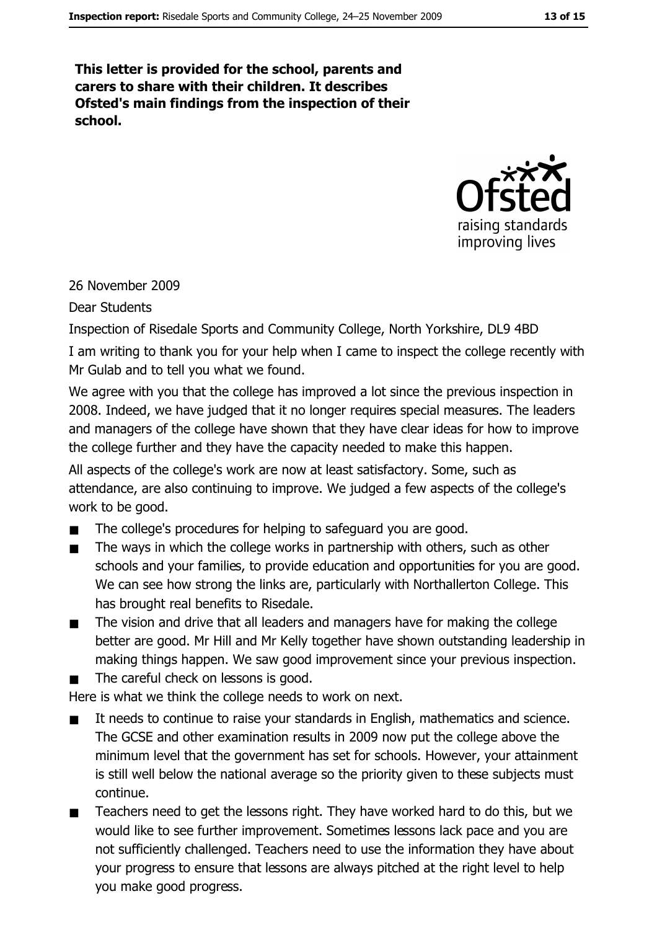This letter is provided for the school, parents and carers to share with their children. It describes Ofsted's main findings from the inspection of their school.



#### 26 November 2009

**Dear Students** 

Inspection of Risedale Sports and Community College, North Yorkshire, DL9 4BD

I am writing to thank you for your help when I came to inspect the college recently with Mr Gulab and to tell you what we found.

We agree with you that the college has improved a lot since the previous inspection in 2008. Indeed, we have judged that it no longer requires special measures. The leaders and managers of the college have shown that they have clear ideas for how to improve the college further and they have the capacity needed to make this happen.

All aspects of the college's work are now at least satisfactory. Some, such as attendance, are also continuing to improve. We judged a few aspects of the college's work to be good.

- The college's procedures for helping to safeguard you are good.  $\blacksquare$
- The ways in which the college works in partnership with others, such as other  $\blacksquare$ schools and your families, to provide education and opportunities for you are good. We can see how strong the links are, particularly with Northallerton College. This has brought real benefits to Risedale.
- The vision and drive that all leaders and managers have for making the college  $\blacksquare$ better are good. Mr Hill and Mr Kelly together have shown outstanding leadership in making things happen. We saw good improvement since your previous inspection.
- The careful check on lessons is good.  $\blacksquare$

Here is what we think the college needs to work on next.

- It needs to continue to raise your standards in English, mathematics and science.  $\blacksquare$ The GCSE and other examination results in 2009 now put the college above the minimum level that the government has set for schools. However, your attainment is still well below the national average so the priority given to these subjects must continue.
- Teachers need to get the lessons right. They have worked hard to do this, but we  $\blacksquare$ would like to see further improvement. Sometimes lessons lack pace and you are not sufficiently challenged. Teachers need to use the information they have about your progress to ensure that lessons are always pitched at the right level to help you make good progress.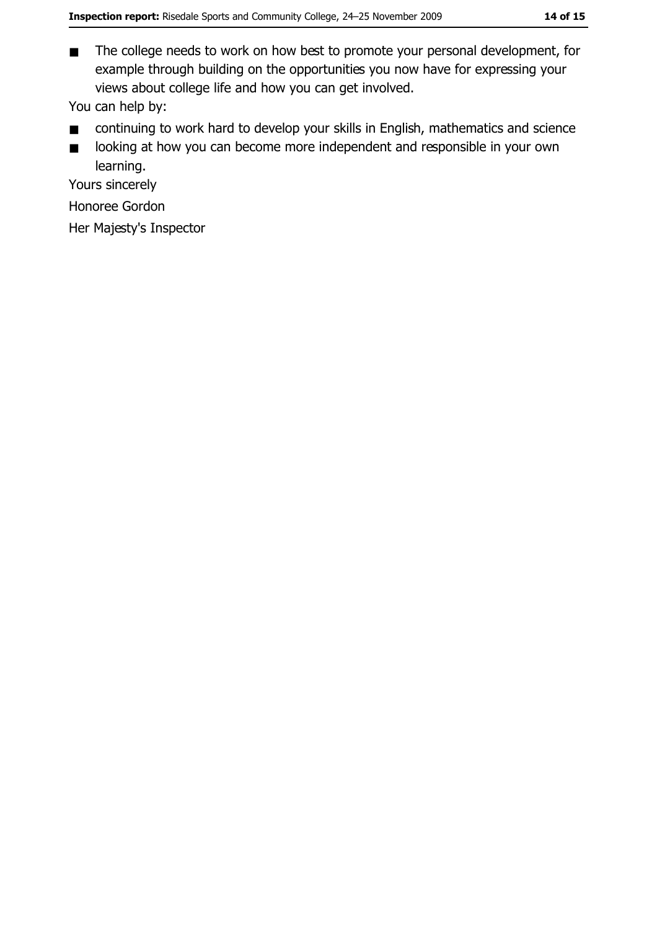The college needs to work on how best to promote your personal development, for  $\blacksquare$ example through building on the opportunities you now have for expressing your views about college life and how you can get involved.

You can help by:

- continuing to work hard to develop your skills in English, mathematics and science  $\blacksquare$
- looking at how you can become more independent and responsible in your own  $\blacksquare$ learning.

Yours sincerely

Honoree Gordon

Her Majesty's Inspector